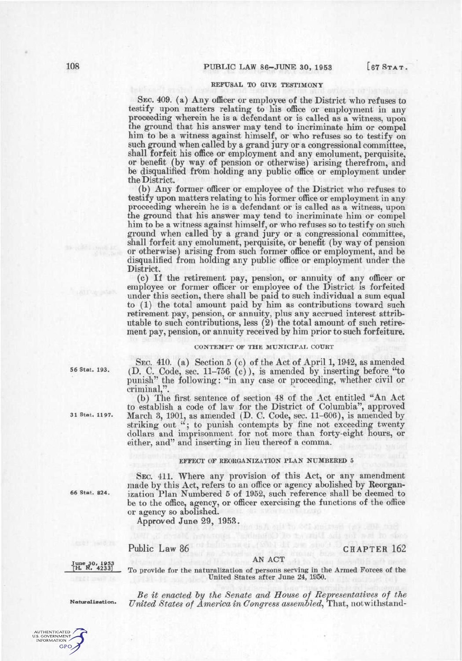# **REFUSAL TO GIVE TESTIMONY**

SEC. 409. (a) Any officer or employee of the District who refuses to testify upon matters relating to his office or employment in any proceeding wherein he is a defendant or is called as a witness, upon the ground that his answer may tend to incriminate him or compel him to be a witness against himself, or who refuses so to testify on such ground when called by a grand jury or a congressional committee, shall forfeit his office or employment and any emolument, perquisite, or benefit (by way of pension or otherwise) arising therefrom, and be disqualified from holding any public office or employment under the District.

(b) Any former officer or employee of the District who refuses to testify upon matters relating to his former office or employment in any proceeding wherein he is a defendant or is called as a witness, upon the ground that his answer may tend to incriminate him or compel him to be a witness against himself, or who refuses so to testify on such ground when called by a grand jury or a congressional committee, shall forfeit any emolument, perquisite, or benefit (by way of pension or otherwise) arising from such former office or employment, and be disqualified from holding any public office or employment under the District.

(c) If the retirement pay, pension, or annuity of any officer or employee or former officer or employee of the District is forfeited under this section, there shall be paid to such individual a sum equal to (1) the total amount paid by him as contributions toward such retirement pay, pension, or annuity, plus any accrued interest attributable to such contributions, less (2) the total amount of such retirement pay, pension, or annuity received by him prior to such forfeiture.

## CONTEMPT OF THE MUNICIPAL COURT

SEC. 410. (a) Section 5 (c) of the Act of April 1,1942, as amended (D. C. Code, sec. 11-756 (c)), is amended by inserting before "to punish" the following: "in any case or proceeding, whether civil or criminal,".

(b) The first sentence of section 48 of the Act entitled "An Act to establish a code of law for the District of Columbia", approved March 3, 1901, as amended  $(D. C. Code, sec. 11-606)$ , is amended by striking out "; to punish contempts by fine not exceeding twenty dollars and imprisonment for not more than forty-eight hours, or either, and" and inserting in lieu thereof a comma.

### **EFFECT OF REORGANIZATION PLAN NUMBERED 5**

SEC. 411. Where any provision of this Act, or any amendment made by this Act, refers to an office or agency abolished by Reorganization Plan Numbered 5 of 1952, such reference shall be deemed to be to the office, agency, or officer exercising the functions of the office or agency so abolished.

Approved June 29, 1953.

Public Law 86 CHAPTER 162

#### AN ACT

**June 30, 1953 [H. R. 4233]** 

To provide for the naturalization of persons serving in the Armed Forces of the United States after June 24, 1950.

*Be it enacted hy the Senate and House of Representatives of the United States of America in Congress assemhled^* That, notwithstand-

**Naturalization.** 



**56 Stat. 193,** 

**31 Stat. 1197.** 

**66 Stat. 824.**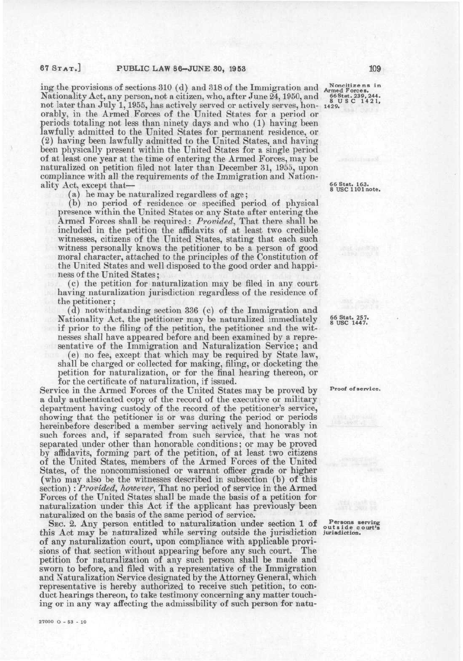ing the provisions of sections 310 (d) and 318 of the Immigration and Nationality Act, any person, not a citizen, who, after June 24,1950, and not later than July 1,1955, has actively served or actively serves, hon-**1429.**  orably, in the Armed Forces of the United States for a period or periods totaling not less than ninety days and who (1) having been lawfully admitted to the United States for permanent residence, or (2) having been lawfully admitted to the United States, and having been physically present within the United States for a single period of at least one year at the time of entering the Armed Forces, may be naturalized on petition filed not later than December 31, 1955, upon compliance with all the requirements of the Immigration and Nationality Act, except that—

(a) he may be naturalized regardless of age;

(b) no period of residence or specified period of physical presence within the United States or any State after entering the Armed Forces shall be required: *Provided^* That there shall be included in the petition the affidavits of at least two credible witnesses, citizens of the United States, stating that each such witness personally knows the petitioner to be a person of good moral character, attached to the principles of the Constitution of the United States and well disposed to the good order and happiness of the United States;

(c) the petition for naturalization may be filed in any court having naturalization jurisdiction regardless of the residence of the petitioner;

(d) notwithstanding section 336 (c) of the Immigration and Nationality Act, the petitioner may be naturalized immediately if prior to the filing of the petition, the petitioner and the witnesses shall have appeared before and been examined by a representative of the Immigration and Naturalization Service; and

(e) no fee, except that which may be required by State law, shall be charged or collected for making, filing, or docketing the petition for naturalization, or for the final hearing thereon, or for the certificate of naturalization, if issued.

Service in the Armed Forces of the United States may be proved by a duly authenticated copy of the record of the executive or military department having custody of the record of the petitioner's service, showing that the petitioner is or was during the period or periods hereinbefore described a member serving actively and honorably in such forces and, if separated from such service, that he was not separated under other than honorable conditions; or may be proved by affidavits, forming part of the petition, of at least two citizens of the United States, members of the Armed Forces of the United States, of the noncommissioned or warrant officer grade or higher (who may also be the witnesses described in subsection (b) of this section) : *Provided, however^* That no period of service in the Armed Forces of the United States shall be made the basis of a petition for naturalization under this Act if the applicant has previously been naturalized on the basis of the same period of service.

SEC. 2. Any person entitled to naturalization under section 1 of this Act may be naturalized while serving outside the jurisdiction **jurisdiction.**  of any naturalization court, upon compliance with applicable provisions of that section without appearing before any such court. The petition for naturalization of any such person shall be made and sworn to before, and filed with a representative of the Immigration and Naturalization Service designated by the Attorney General, which representative is hereby authorized to receive such petition, to conduct hearings thereon, to take testimony concerning any matter touching or in any way affecting the admissibility of such person for natu-

**66 Stat. 163. 8 us e 1101 note.** 

**Noncitizens in**<br> **Armed Forces.**<br> **66 Stat. 239, 244.**<br> **8 U S C 1421,** 

**66 Stat. 257. 8 us e 1447.** 

**Proof of service.** 

**Persons serving outsid e court's**